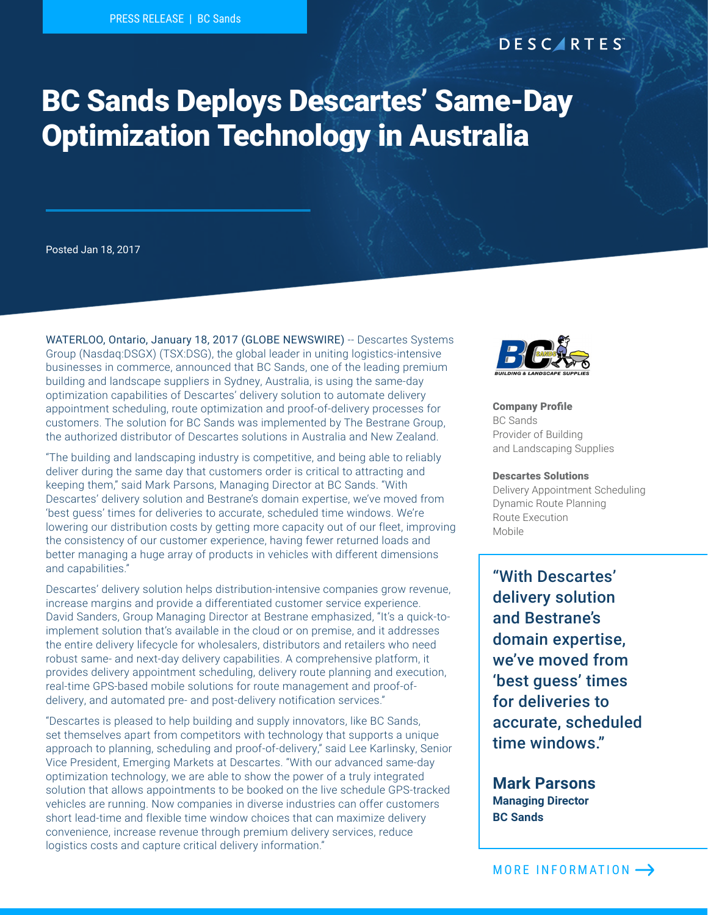# DESCARTES

# BC Sands Deploys Descartes' Same-Day Optimization Technology in Australia

Posted Jan 18, 2017

WATERLOO, Ontario, January 18, 2017 (GLOBE NEWSWIRE) -- Descartes Systems Group (Nasdaq:DSGX) (TSX:DSG), the global leader in uniting logistics-intensive businesses in commerce, announced that BC Sands, one of the leading premium building and landscape suppliers in Sydney, Australia, is using the same-day optimization capabilities of Descartes' delivery solution to automate delivery appointment scheduling, route optimization and proof-of-delivery processes for customers. The solution for BC Sands was implemented by The Bestrane Group, the authorized distributor of Descartes solutions in Australia and New Zealand.

"The building and landscaping industry is competitive, and being able to reliably deliver during the same day that customers order is critical to attracting and keeping them," said Mark Parsons, Managing Director at BC Sands. "With Descartes' delivery solution and Bestrane's domain expertise, we've moved from 'best guess' times for deliveries to accurate, scheduled time windows. We're lowering our distribution costs by getting more capacity out of our fleet, improving the consistency of our customer experience, having fewer returned loads and better managing a huge array of products in vehicles with different dimensions and capabilities."

Descartes' delivery solution helps distribution-intensive companies grow revenue, increase margins and provide a differentiated customer service experience. David Sanders, Group Managing Director at Bestrane emphasized, "It's a quick-toimplement solution that's available in the cloud or on premise, and it addresses the entire delivery lifecycle for wholesalers, distributors and retailers who need robust same- and next-day delivery capabilities. A comprehensive platform, it provides delivery appointment scheduling, delivery route planning and execution, real-time GPS-based mobile solutions for route management and proof-ofdelivery, and automated pre- and post-delivery notification services."

"Descartes is pleased to help building and supply innovators, like BC Sands, set themselves apart from competitors with technology that supports a unique approach to planning, scheduling and proof-of-delivery," said Lee Karlinsky, Senior Vice President, Emerging Markets at Descartes. "With our advanced same-day optimization technology, we are able to show the power of a truly integrated solution that allows appointments to be booked on the live schedule GPS-tracked vehicles are running. Now companies in diverse industries can offer customers short lead-time and flexible time window choices that can maximize delivery convenience, increase revenue through premium delivery services, reduce logistics costs and capture critical delivery information."



Company Profile BC Sands Provider of Building and Landscaping Supplies

#### Descartes Solutions

Delivery Appointment Scheduling Dynamic Route Planning Route Execution Mobile

"With Descartes' delivery solution and Bestrane's domain expertise, we've moved from 'best guess' times for deliveries to accurate, scheduled time windows."

**Mark Parsons Managing Director BC Sands**